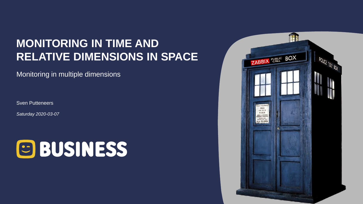# **MONITORING IN TIME AND RELATIVE DIMENSIONS IN SPACE**

Monitoring in multiple dimensions

Sven Putteneers

*Saturday 2020-03-07*



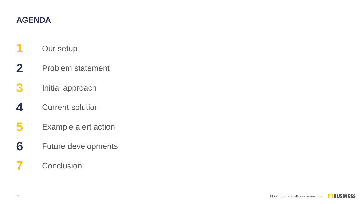#### **AGENDA**

- Our setup
- Problem statement
- Initial approach
- Current solution
- Example alert action
- Future developments

## Conclusion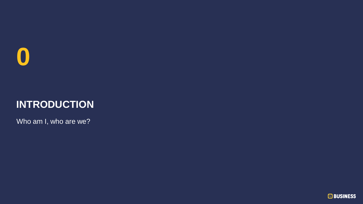

# **INTRODUCTION**

Who am I, who are we?

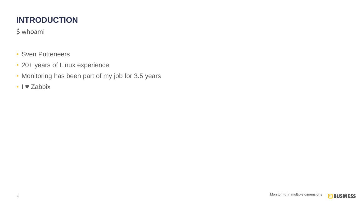#### **INTRODUCTION**

\$ whoami

- Sven Putteneers
- 20+ years of Linux experience
- Monitoring has been part of my job for 3.5 years
- I ♥ Zabbix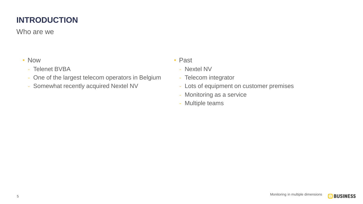#### **INTRODUCTION**

Who are we

- Now
	- Telenet BVBA
	- One of the largest telecom operators in Belgium
	- Somewhat recently acquired Nextel NV
- Past
	- Nextel NV
	- Telecom integrator
	- Lots of equipment on customer premises
	- Monitoring as a service
	- Multiple teams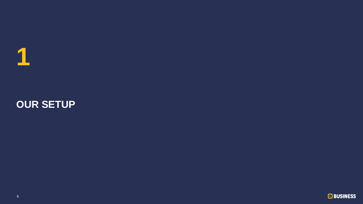

# **OUR SETUP**

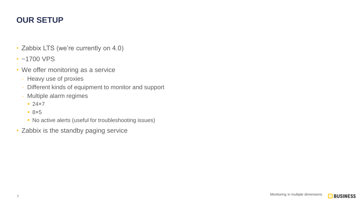#### **OUR SETUP**

- Zabbix LTS (we're currently on 4.0)
- ~1700 VPS
- We offer monitoring as a service
	- Heavy use of proxies
	- Different kinds of equipment to monitor and support
	- Multiple alarm regimes
		- $-24\times7$
		- $8\times 5$
		- No active alerts (useful for troubleshooting issues)
- Zabbix is the standby paging service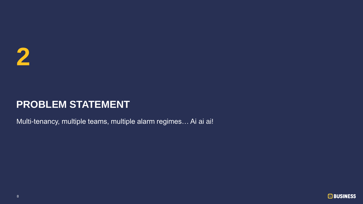Multi-tenancy, multiple teams, multiple alarm regimes… Ai ai ai!

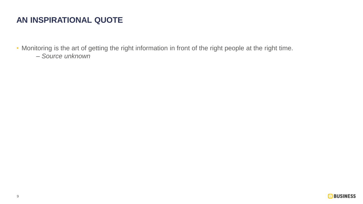#### **AN INSPIRATIONAL QUOTE**

• Monitoring is the art of getting the right information in front of the right people at the right time. *– Source unknown*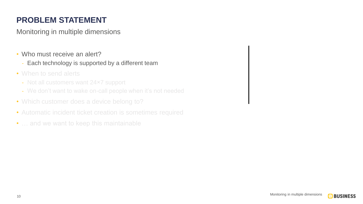- Who must receive an alert?
	- Each technology is supported by a different team
- When to send alerts
	- Not all customers want 24×7 support
	- We don't want to wake on-call people when it's not needed
- Which customer does a device belong to?
- Automatic incident ticket creation is sometimes required
- ... and we want to keep this maintainable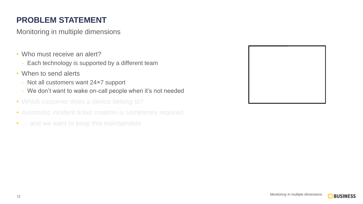- Who must receive an alert?
	- Each technology is supported by a different team
- When to send alerts
	- Not all customers want 24×7 support
	- We don't want to wake on-call people when it's not needed
- Which customer does a device belong to?
- Automatic incident ticket creation is sometimes required
- ... and we want to keep this maintainable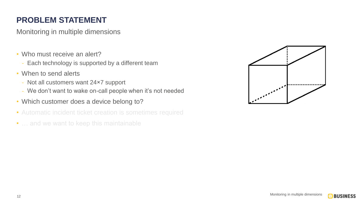- Who must receive an alert?
	- Each technology is supported by a different team
- When to send alerts
	- Not all customers want 24×7 support
	- We don't want to wake on-call people when it's not needed
- Which customer does a device belong to?
- Automatic incident ticket creation is sometimes required
- ... and we want to keep this maintainable

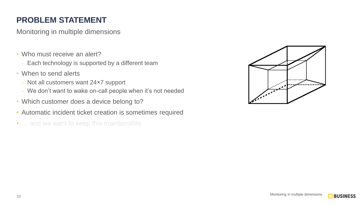- Who must receive an alert?
	- Each technology is supported by a different team
- When to send alerts
	- Not all customers want 24×7 support
	- We don't want to wake on-call people when it's not needed
- Which customer does a device belong to?
- Automatic incident ticket creation is sometimes required
- ... and we want to keep this maintainable

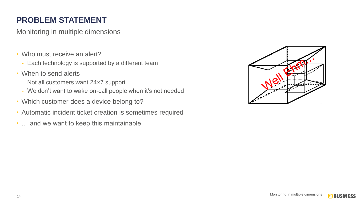- Who must receive an alert?
	- Each technology is supported by a different team
- When to send alerts
	- Not all customers want 24×7 support
	- We don't want to wake on-call people when it's not needed
- Which customer does a device belong to?
- Automatic incident ticket creation is sometimes required
- ... and we want to keep this maintainable

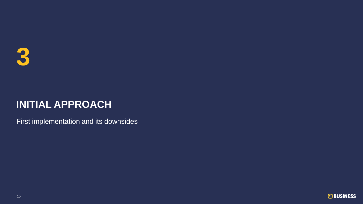

First implementation and its downsides

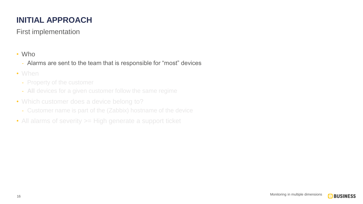First implementation

- Alarms are sent to the team that is responsible for "most" devices
- When
	- Property of the customer
	- **All** devices for a given customer follow the same regime
- Which customer does a device belong to?
	- Customer name is part of the (Zabbix) hostname of the device
- All alarms of severity > High generate a support ticket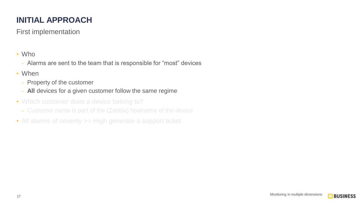First implementation

- Alarms are sent to the team that is responsible for "most" devices
- When
	- Property of the customer
	- **All** devices for a given customer follow the same regime
- Which customer does a device belong to?
	- Customer name is part of the (Zabbix) hostname of the device
- All alarms of severity > High generate a support ticket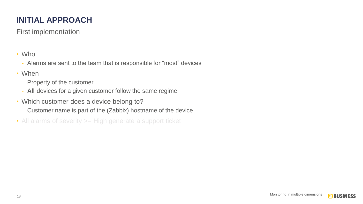First implementation

- Alarms are sent to the team that is responsible for "most" devices
- When
	- Property of the customer
	- **All** devices for a given customer follow the same regime
- Which customer does a device belong to?
	- Customer name is part of the (Zabbix) hostname of the device
- All alarms of severity > High generate a support ticket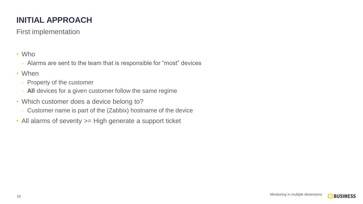First implementation

- Alarms are sent to the team that is responsible for "most" devices
- When
	- Property of the customer
	- **All** devices for a given customer follow the same regime
- Which customer does a device belong to?
	- Customer name is part of the (Zabbix) hostname of the device
- All alarms of severity > High generate a support ticket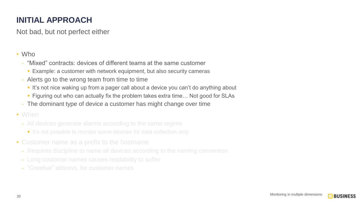Not bad, but not perfect either

#### • Who

- "Mixed" contracts: devices of different teams at the same customer
	- **Example: a customer with network equipment, but also security cameras**
- Alerts go to the wrong team from time to time
	- It's not nice waking up from a pager call about a device you can't do anything about
	- Figuring out who can actually fix the problem takes extra time... Not good for SLAs
- The dominant type of device a customer has might change over time

#### • When

- All devices generate alarms according to the same regime
	- It's not possible to monitor some devices for data collection only
- Customer name as a prefix to the hostname
	- Requires discipline to name all devices according to the naming convention
	-
	-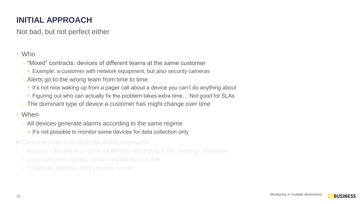Not bad, but not perfect either

#### • Who

- "Mixed" contracts: devices of different teams at the same customer
	- **Example: a customer with network equipment, but also security cameras**
- Alerts go to the wrong team from time to time
	- **.** It's not nice waking up from a pager call about a device you can't do anything about
	- Figuring out who can actually fix the problem takes extra time... Not good for SLAs
- The dominant type of device a customer has might change over time

#### • When

- All devices generate alarms according to the same regime
	- **.** It's not possible to monitor some devices for data collection only
- Customer name as a prefix to the hostname
	- Requires discipline to name all devices according to the naming convention
	-
	-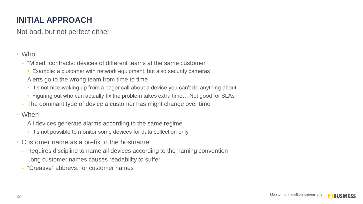Not bad, but not perfect either

#### • Who

- "Mixed" contracts: devices of different teams at the same customer
	- **Example: a customer with network equipment, but also security cameras**
- Alerts go to the wrong team from time to time
	- **.** It's not nice waking up from a pager call about a device you can't do anything about
	- Figuring out who can actually fix the problem takes extra time... Not good for SLAs
- The dominant type of device a customer has might change over time

#### • When

- All devices generate alarms according to the same regime
	- **.** It's not possible to monitor some devices for data collection only
- Customer name as a prefix to the hostname
	- Requires discipline to name all devices according to the naming convention
	- Long customer names causes readability to suffer
	- "Creative" abbrevs. for customer names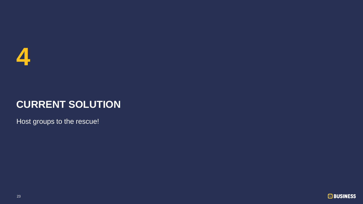

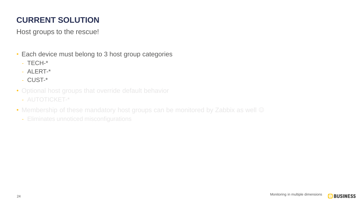- Each device must belong to 3 host group categories
	- $-$  TFCH- $*$
	- ALERT-\*
	- CUST-\*
- Optional host groups that override default behavior
	- AUTOTICKET-\*
- Membership of these mandatory host groups can be monitored by Zabbix as well  $\odot$ 
	- Eliminates unnoticed misconfigurations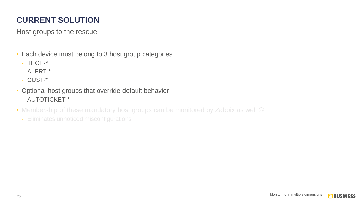- Each device must belong to 3 host group categories
	- TECH-\*
	- ALERT-\*
	- CUST-\*
- Optional host groups that override default behavior
	- AUTOTICKET-\*
- Membership of these mandatory host groups can be monitored by Zabbix as well  $\odot$ 
	- Eliminates unnoticed misconfigurations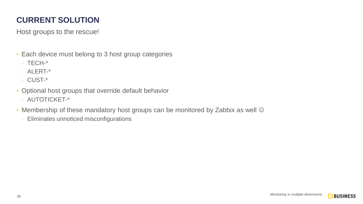- Each device must belong to 3 host group categories
	- TECH-\*
	- ALERT-\*
	- CUST-\*
- Optional host groups that override default behavior
	- AUTOTICKET-\*
- Membership of these mandatory host groups can be monitored by Zabbix as well  $\odot$ 
	- Eliminates unnoticed misconfigurations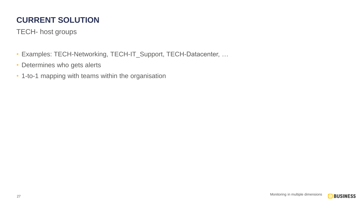TECH- host groups

- Examples: TECH-Networking, TECH-IT\_Support, TECH-Datacenter, …
- Determines who gets alerts
- 1-to-1 mapping with teams within the organisation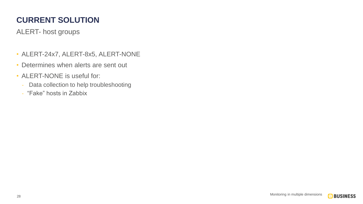ALERT- host groups

- ALERT-24x7, ALERT-8x5, ALERT-NONE
- Determines when alerts are sent out
- ALERT-NONE is useful for:
	- Data collection to help troubleshooting
	- "Fake" hosts in Zabbix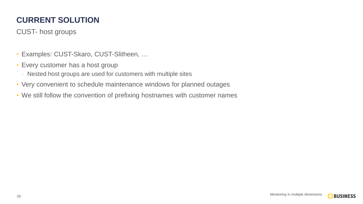CUST- host groups

- Examples: CUST-Skaro, CUST-Slitheen, …
- Every customer has a host group
	- Nested host groups are used for customers with multiple sites
- Very convenient to schedule maintenance windows for planned outages
- We still follow the convention of prefixing hostnames with customer names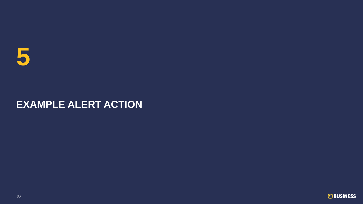

# **EXAMPLE ALERT ACTION**

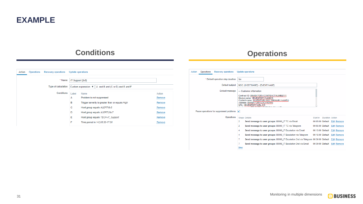

#### **Conditions Conditions Operations**

#### Action Operations Recovery operations Update operations \* Name IT Support [8x5] Type of calculation  $\vert$  Custom expression  $\vert \mathbf{v} \vert \vert$  A and B and (C or D) and E and F Conditions Label Name Action  $\overline{A}$ Problem is not suppressed Remove B Trigger severity is greater than or equals High Remove  $\mathbf{C}$ Host group equals ALERT-8x5 Remove D Host group equals ALERT-24x7 Remove Host group equals TECH-IT\_Support E Remove Time period in 1-5,08:30-17:00 F. Remove

| Action                                   | <b>Operations</b> | <b>Recovery operations</b>        |                         | <b>Update operations</b>                                                                                                                                                                                            |                                                            |                                                                                    |                  |                        |                              |
|------------------------------------------|-------------------|-----------------------------------|-------------------------|---------------------------------------------------------------------------------------------------------------------------------------------------------------------------------------------------------------------|------------------------------------------------------------|------------------------------------------------------------------------------------|------------------|------------------------|------------------------------|
|                                          |                   | * Default operation step duration | 5 <sub>m</sub>          |                                                                                                                                                                                                                     |                                                            |                                                                                    |                  |                        |                              |
| <b>Default subject</b>                   |                   |                                   |                         | NOC: {HOST.NAME} - {EVENT.NAME}                                                                                                                                                                                     |                                                            |                                                                                    |                  |                        |                              |
| Default message                          |                   |                                   |                         | --- Customer information<br>Contract ID: {INVENTORY.CONTRACT.NUMBER1}<br>Device name: {INVENTORY.NAME1}<br>Contact name: {INVENTORY.POC.PRIMARY.NAME1}<br>Address: {INVENTORY.LOCATION1}<br>URL: {INVENTORY.URL A1} |                                                            |                                                                                    |                  |                        |                              |
| Pause operations for suppressed problems |                   |                                   | $\overline{\mathsf{v}}$ |                                                                                                                                                                                                                     |                                                            |                                                                                    |                  |                        |                              |
|                                          |                   | <b>Operations</b>                 |                         | <b>Steps Details</b>                                                                                                                                                                                                |                                                            |                                                                                    | Start in         | <b>Duration Action</b> |                              |
|                                          |                   |                                   | 2                       |                                                                                                                                                                                                                     | Send message to user groups: 00000 IT TC via Email         |                                                                                    |                  |                        | 00:05:00 Default Edit Remove |
|                                          |                   |                                   | $\overline{2}$          |                                                                                                                                                                                                                     | Send message to user groups: 00000 IT TC via Telegram      |                                                                                    |                  |                        | 00:05:00 Default Edit Remove |
|                                          |                   |                                   | 4                       |                                                                                                                                                                                                                     | Send message to user groups: 00006 IT Escalation via Email |                                                                                    | 00:15:00 Default |                        | <b>Edit Remove</b>           |
|                                          |                   |                                   | 4                       |                                                                                                                                                                                                                     |                                                            | Send message to user groups: 00006 IT Escalation via Telegram                      | 00:15:00 Default |                        | <b>Edit Remove</b>           |
|                                          |                   |                                   | 7                       |                                                                                                                                                                                                                     |                                                            | Send message to user groups: 00006 IT Escalation 2nd via Telegram 00:30:00 Default |                  |                        | <b>Edit Remove</b>           |
|                                          |                   |                                   | 7                       |                                                                                                                                                                                                                     |                                                            | Send message to user groups: 00006 IT Escalation 2nd via Email                     | 00:30:00 Default |                        | <b>Edit Remove</b>           |
|                                          |                   |                                   | <b>New</b>              |                                                                                                                                                                                                                     |                                                            |                                                                                    |                  |                        |                              |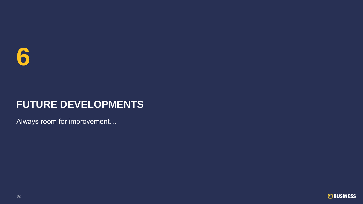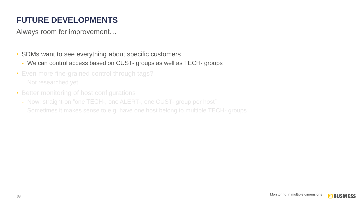- SDMs want to see everything about specific customers
	- We can control access based on CUST- groups as well as TECH- groups
- Even more fine-grained control through tags?
	- Not researched yet
- Better monitoring of host configurations
	- Now: straight-on "one TECH-, one ALERT-, one CUST- group per host"
	- Sometimes it makes sense to e.g. have one host belong to multiple TECH- groups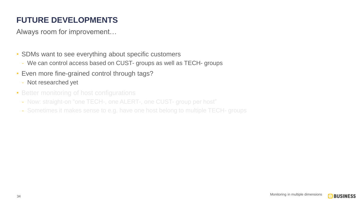- SDMs want to see everything about specific customers
	- We can control access based on CUST- groups as well as TECH- groups
- Even more fine-grained control through tags?
	- Not researched yet
- Better monitoring of host configurations
	- Now: straight-on "one TECH-, one ALERT-, one CUST- group per host"
	- Sometimes it makes sense to e.g. have one host belong to multiple TECH- groups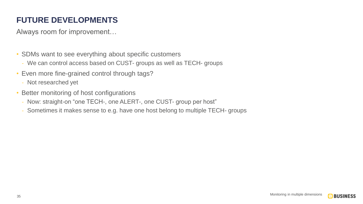- SDMs want to see everything about specific customers
	- We can control access based on CUST- groups as well as TECH- groups
- Even more fine-grained control through tags?
	- Not researched yet
- Better monitoring of host configurations
	- Now: straight-on "one TECH-, one ALERT-, one CUST- group per host"
	- Sometimes it makes sense to e.g. have one host belong to multiple TECH- groups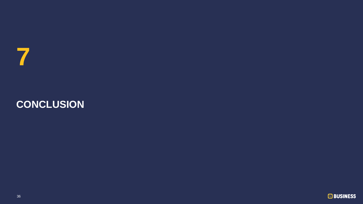

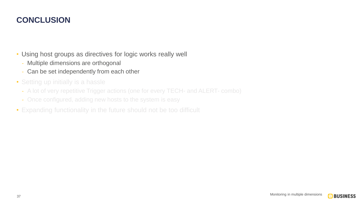• Using host groups as directives for logic works really well

- Multiple dimensions are orthogonal
- Can be set independently from each other
- Setting up initially is a hassle
	- A lot of very repetitive Trigger actions (one for every TECH- and ALERT- combo)
	- Once configured, adding new hosts to the system is easy
- Expanding functionality in the future should not be too difficult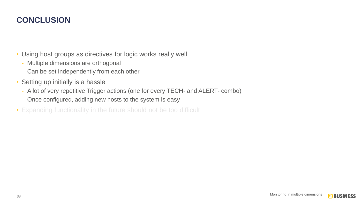• Using host groups as directives for logic works really well

- Multiple dimensions are orthogonal
- Can be set independently from each other
- Setting up initially is a hassle
	- A lot of very repetitive Trigger actions (one for every TECH- and ALERT- combo)
	- Once configured, adding new hosts to the system is easy

• Expanding functionality in the future should not be too difficult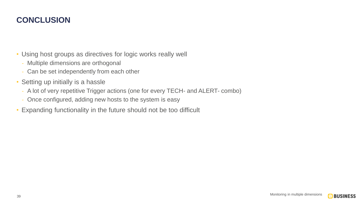• Using host groups as directives for logic works really well

- Multiple dimensions are orthogonal
- Can be set independently from each other
- Setting up initially is a hassle
	- A lot of very repetitive Trigger actions (one for every TECH- and ALERT- combo)
	- Once configured, adding new hosts to the system is easy
- Expanding functionality in the future should not be too difficult